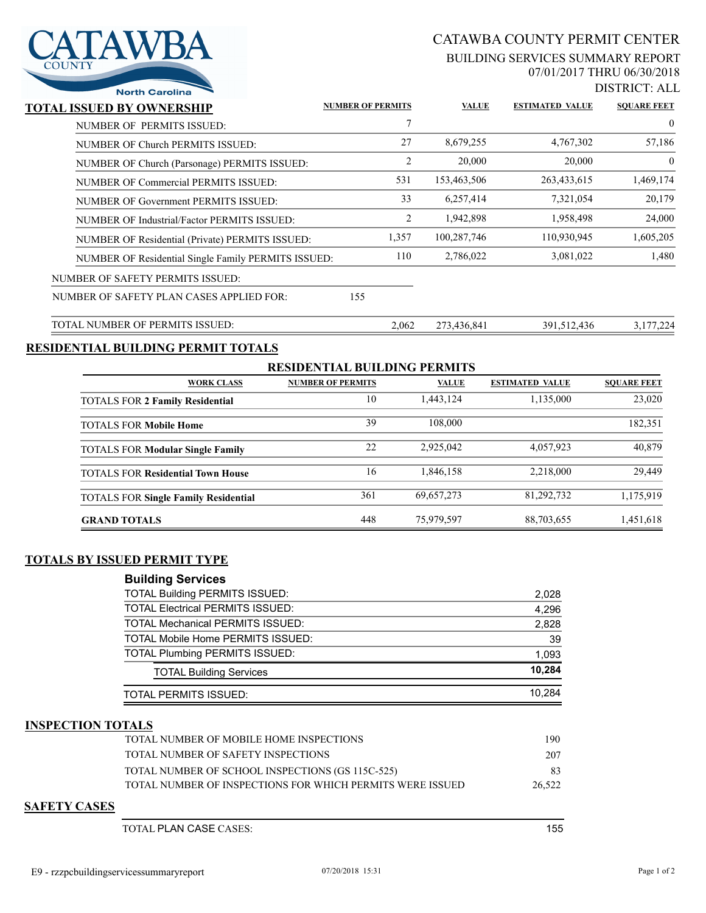

# CATAWBA COUNTY PERMIT CENTER

#### BUILDING SERVICES SUMMARY REPORT 07/01/2017 THRU 06/30/2018

DISTRICT: ALL

| <b>North Carolina</b>                               |                          |       |              |                        |                    |
|-----------------------------------------------------|--------------------------|-------|--------------|------------------------|--------------------|
| TOTAL ISSUED BY OWNERSHIP                           | <b>NUMBER OF PERMITS</b> |       | <b>VALUE</b> | <b>ESTIMATED VALUE</b> | <b>SQUARE FEET</b> |
| NUMBER OF PERMITS ISSUED:                           |                          | 7     |              |                        | $\mathbf{0}$       |
| NUMBER OF Church PERMITS ISSUED:                    |                          | 27    | 8,679,255    | 4,767,302              | 57,186             |
| NUMBER OF Church (Parsonage) PERMITS ISSUED:        |                          | 2     | 20,000       | 20,000                 | $\mathbf{0}$       |
| NUMBER OF Commercial PERMITS ISSUED:                |                          | 531   | 153,463,506  | 263,433,615            | 1,469,174          |
| <b>NUMBER OF Government PERMITS ISSUED:</b>         |                          | 33    | 6,257,414    | 7,321,054              | 20,179             |
| NUMBER OF Industrial/Factor PERMITS ISSUED:         |                          | 2     | 1,942,898    | 1,958,498              | 24,000             |
| NUMBER OF Residential (Private) PERMITS ISSUED:     |                          | 1,357 | 100,287,746  | 110,930,945            | 1,605,205          |
| NUMBER OF Residential Single Family PERMITS ISSUED: |                          | 110   | 2,786,022    | 3,081,022              | 1,480              |
| NUMBER OF SAFETY PERMITS ISSUED:                    |                          |       |              |                        |                    |
| NUMBER OF SAFETY PLAN CASES APPLIED FOR:            | 155                      |       |              |                        |                    |
| TOTAL NUMBER OF PERMITS ISSUED:                     |                          | 2,062 | 273,436,841  | 391,512,436            | 3.177.224          |

### **RESIDENTIAL BUILDING PERMIT TOTALS**

| <b>RESIDENTIAL BUILDING PERMITS</b>         |                          |              |                        |                    |  |  |  |
|---------------------------------------------|--------------------------|--------------|------------------------|--------------------|--|--|--|
| <b>WORK CLASS</b>                           | <b>NUMBER OF PERMITS</b> | <b>VALUE</b> | <b>ESTIMATED VALUE</b> | <b>SOUARE FEET</b> |  |  |  |
| <b>TOTALS FOR 2 Family Residential</b>      | 10                       | 1,443,124    | 1,135,000              | 23,020             |  |  |  |
| <b>TOTALS FOR Mobile Home</b>               | 39                       | 108,000      |                        | 182,351            |  |  |  |
| <b>TOTALS FOR Modular Single Family</b>     | 22                       | 2,925,042    | 4,057,923              | 40,879             |  |  |  |
| <b>TOTALS FOR Residential Town House</b>    | 16                       | 1.846.158    | 2.218,000              | 29,449             |  |  |  |
| <b>TOTALS FOR Single Family Residential</b> | 361                      | 69, 657, 273 | 81,292,732             | 1,175,919          |  |  |  |
| <b>GRAND TOTALS</b>                         | 448                      | 75,979,597   | 88,703,655             | 1,451,618          |  |  |  |

#### **TOTALS BY ISSUED PERMIT TYPE**

| <b>Building Services</b>                |        |
|-----------------------------------------|--------|
| <b>TOTAL Building PERMITS ISSUED:</b>   | 2,028  |
| <b>TOTAL Electrical PERMITS ISSUED:</b> | 4.296  |
| <b>TOTAL Mechanical PERMITS ISSUED:</b> | 2,828  |
| TOTAL Mobile Home PERMITS ISSUED:       | 39     |
| <b>TOTAL Plumbing PERMITS ISSUED:</b>   | 1,093  |
| <b>TOTAL Building Services</b>          | 10,284 |
| TOTAL PERMITS ISSUED:                   | 10.284 |

#### **INSPECTION TOTALS**

| TOTAL NUMBER OF MOBILE HOME INSPECTIONS                   | 190    |
|-----------------------------------------------------------|--------|
| TOTAL NUMBER OF SAFETY INSPECTIONS                        | 207    |
| TOTAL NUMBER OF SCHOOL INSPECTIONS (GS 115C-525)          | 83     |
| TOTAL NUMBER OF INSPECTIONS FOR WHICH PERMITS WERE ISSUED | 26.522 |

#### **SAFETY CASES**

TOTAL PLAN CASE CASES: 155